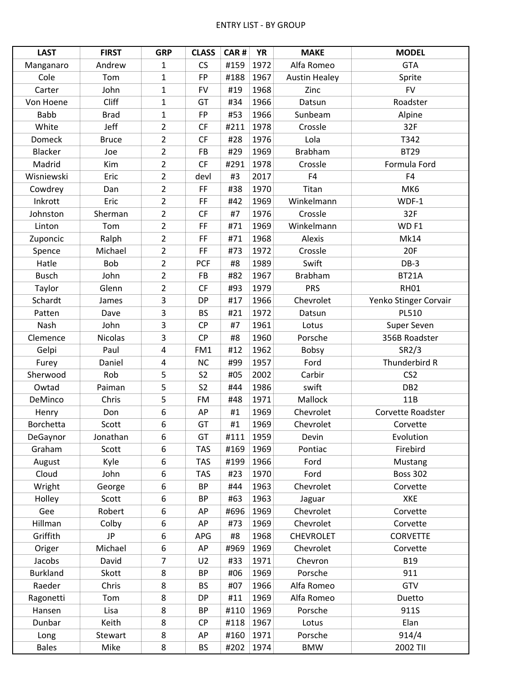| <b>LAST</b>     | <b>FIRST</b>   | <b>GRP</b>     | <b>CLASS</b>   | CAR# | <b>YR</b> | <b>MAKE</b>          | <b>MODEL</b>          |
|-----------------|----------------|----------------|----------------|------|-----------|----------------------|-----------------------|
| Manganaro       | Andrew         | $\mathbf{1}$   | CS             | #159 | 1972      | Alfa Romeo           | <b>GTA</b>            |
| Cole            | Tom            | $\mathbf{1}$   | <b>FP</b>      | #188 | 1967      | <b>Austin Healey</b> | Sprite                |
| Carter          | John           | $\mathbf{1}$   | <b>FV</b>      | #19  | 1968      | Zinc                 | <b>FV</b>             |
| Von Hoene       | Cliff          | 1              | GT             | #34  | 1966      | Datsun               | Roadster              |
| <b>Babb</b>     | <b>Brad</b>    | $\mathbf{1}$   | FP             | #53  | 1966      | Sunbeam              | Alpine                |
| White           | Jeff           | $\overline{2}$ | CF             | #211 | 1978      | Crossle              | 32F                   |
| Domeck          | <b>Bruce</b>   | $\overline{2}$ | <b>CF</b>      | #28  | 1976      | Lola                 | T342                  |
| <b>Blacker</b>  | Joe            | $\overline{2}$ | <b>FB</b>      | #29  | 1969      | <b>Brabham</b>       | <b>BT29</b>           |
| Madrid          | Kim            | $\overline{2}$ | <b>CF</b>      | #291 | 1978      | Crossle              | Formula Ford          |
| Wisniewski      | Eric           | $\overline{2}$ | devl           | #3   | 2017      | F4                   | F4                    |
| Cowdrey         | Dan            | $\overline{2}$ | FF             | #38  | 1970      | Titan                | MK6                   |
| Inkrott         | Eric           | $\overline{2}$ | FF.            | #42  | 1969      | Winkelmann           | WDF-1                 |
| Johnston        | Sherman        | $\overline{2}$ | CF             | #7   | 1976      | Crossle              | 32F                   |
| Linton          | Tom            | $\overline{2}$ | FF             | #71  | 1969      | Winkelmann           | WD <sub>F1</sub>      |
| Zuponcic        | Ralph          | $\overline{2}$ | FF.            | #71  | 1968      | Alexis               | <b>Mk14</b>           |
| Spence          | Michael        | $\overline{2}$ | FF             | #73  | 1972      | Crossle              | 20F                   |
| Hatle           | <b>Bob</b>     | $\overline{2}$ | <b>PCF</b>     | #8   | 1989      | Swift                | $DB-3$                |
| <b>Busch</b>    | John           | $\overline{2}$ | <b>FB</b>      | #82  | 1967      | <b>Brabham</b>       | BT21A                 |
| Taylor          | Glenn          | $\overline{2}$ | <b>CF</b>      | #93  | 1979      | <b>PRS</b>           | <b>RH01</b>           |
| Schardt         | James          | 3              | <b>DP</b>      | #17  | 1966      | Chevrolet            | Yenko Stinger Corvair |
| Patten          | Dave           | 3              | <b>BS</b>      | #21  | 1972      | Datsun               | PL510                 |
| Nash            | John           | 3              | <b>CP</b>      | #7   | 1961      | Lotus                | Super Seven           |
| Clemence        | <b>Nicolas</b> | 3              | CP             | #8   | 1960      | Porsche              | 356B Roadster         |
| Gelpi           | Paul           | $\overline{4}$ | FM1            | #12  | 1962      | Bobsy                | SR2/3                 |
| Furey           | Daniel         | $\overline{4}$ | <b>NC</b>      | #99  | 1957      | Ford                 | Thunderbird R         |
| Sherwood        | Rob            | 5              | S <sub>2</sub> | #05  | 2002      | Carbir               | CS <sub>2</sub>       |
| Owtad           | Paiman         | 5              | S <sub>2</sub> | #44  | 1986      | swift                | DB <sub>2</sub>       |
| DeMinco         | Chris          | 5              | <b>FM</b>      | #48  | 1971      | Mallock              | 11B                   |
| Henry           | Don            | 6              | AP             | #1   | 1969      | Chevrolet            | Corvette Roadster     |
| Borchetta       | Scott          | 6              | GT             | #1   | 1969      | Chevrolet            | Corvette              |
| DeGaynor        | Jonathan       | 6              | GT             | #111 | 1959      | Devin                | Evolution             |
| Graham          | Scott          | 6              | <b>TAS</b>     | #169 | 1969      | Pontiac              | Firebird              |
| August          | Kyle           | 6              | <b>TAS</b>     | #199 | 1966      | Ford                 | Mustang               |
| Cloud           | John           | 6              | <b>TAS</b>     | #23  | 1970      | Ford                 | <b>Boss 302</b>       |
| Wright          | George         | 6              | <b>BP</b>      | #44  | 1963      | Chevrolet            | Corvette              |
| Holley          | Scott          | 6              | <b>BP</b>      | #63  | 1963      | Jaguar               | <b>XKE</b>            |
| Gee             | Robert         | 6              | AP             | #696 | 1969      | Chevrolet            | Corvette              |
| Hillman         | Colby          | 6              | AP             | #73  | 1969      | Chevrolet            | Corvette              |
| Griffith        | <b>JP</b>      | 6              | <b>APG</b>     | #8   | 1968      | <b>CHEVROLET</b>     | <b>CORVETTE</b>       |
| Origer          | Michael        | 6              | AP             | #969 | 1969      | Chevrolet            | Corvette              |
| Jacobs          | David          | $\overline{7}$ | U <sub>2</sub> | #33  | 1971      | Chevron              | <b>B19</b>            |
| <b>Burkland</b> | Skott          | 8              | BP             | #06  | 1969      | Porsche              | 911                   |
| Raeder          | Chris          | 8              | <b>BS</b>      | #07  | 1966      | Alfa Romeo           | GTV                   |
| Ragonetti       | Tom            | 8              | <b>DP</b>      | #11  | 1969      | Alfa Romeo           | Duetto                |
| Hansen          | Lisa           | 8              | <b>BP</b>      | #110 | 1969      | Porsche              | 911S                  |
| Dunbar          | Keith          | 8              | <b>CP</b>      | #118 | 1967      | Lotus                | Elan                  |
| Long            | Stewart        | 8              | AP             | #160 | 1971      | Porsche              | 914/4                 |
| <b>Bales</b>    | Mike           | 8              | <b>BS</b>      | #202 | 1974      | <b>BMW</b>           | 2002 TII              |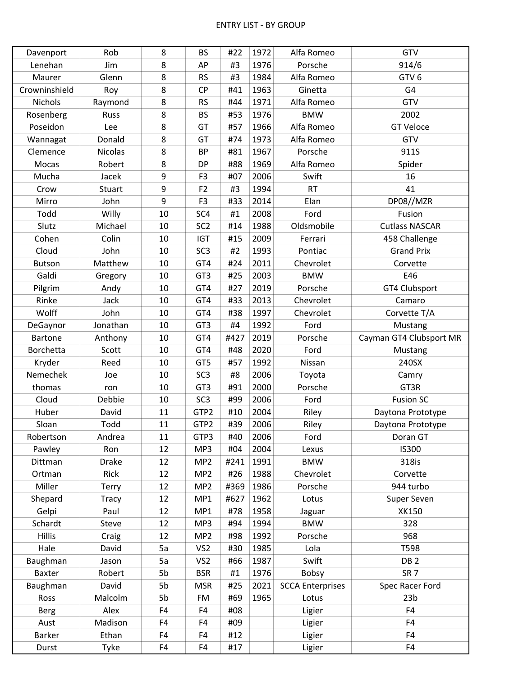| Davenport      | Rob            | 8  | <b>BS</b>       | #22  | 1972 | Alfa Romeo              | GTV                     |
|----------------|----------------|----|-----------------|------|------|-------------------------|-------------------------|
| Lenehan        | Jim            | 8  | AP              | #3   | 1976 | Porsche                 | 914/6                   |
| Maurer         | Glenn          | 8  | <b>RS</b>       | #3   | 1984 | Alfa Romeo              | GTV <sub>6</sub>        |
| Crowninshield  | Roy            | 8  | CP              | #41  | 1963 | Ginetta                 | G4                      |
| <b>Nichols</b> | Raymond        | 8  | <b>RS</b>       | #44  | 1971 | Alfa Romeo              | GTV                     |
| Rosenberg      | Russ           | 8  | <b>BS</b>       | #53  | 1976 | <b>BMW</b>              | 2002                    |
| Poseidon       | Lee            | 8  | GT              | #57  | 1966 | Alfa Romeo              | <b>GT Veloce</b>        |
| Wannagat       | Donald         | 8  | GT              | #74  | 1973 | Alfa Romeo              | GTV                     |
| Clemence       | <b>Nicolas</b> | 8  | <b>BP</b>       | #81  | 1967 | Porsche                 | 911S                    |
| Mocas          | Robert         | 8  | <b>DP</b>       | #88  | 1969 | Alfa Romeo              | Spider                  |
| Mucha          | Jacek          | 9  | F <sub>3</sub>  | #07  | 2006 | Swift                   | 16                      |
| Crow           | Stuart         | 9  | F <sub>2</sub>  | #3   | 1994 | RT                      | 41                      |
| Mirro          | John           | 9  | F <sub>3</sub>  | #33  | 2014 | Elan                    | DP08//MZR               |
| Todd           | Willy          | 10 | SC4             | #1   | 2008 | Ford                    | Fusion                  |
| Slutz          | Michael        | 10 | SC <sub>2</sub> | #14  | 1988 | Oldsmobile              | <b>Cutlass NASCAR</b>   |
| Cohen          | Colin          | 10 | <b>IGT</b>      | #15  | 2009 | Ferrari                 | 458 Challenge           |
| Cloud          | John           | 10 | SC <sub>3</sub> | #2   | 1993 | Pontiac                 | <b>Grand Prix</b>       |
| <b>Butson</b>  | Matthew        | 10 | GT4             | #24  | 2011 | Chevrolet               | Corvette                |
| Galdi          | Gregory        | 10 | GT3             | #25  | 2003 | <b>BMW</b>              | E46                     |
| Pilgrim        | Andy           | 10 | GT4             | #27  | 2019 | Porsche                 | GT4 Clubsport           |
| Rinke          | Jack           | 10 | GT4             | #33  | 2013 | Chevrolet               | Camaro                  |
| Wolff          | John           | 10 | GT4             | #38  | 1997 | Chevrolet               | Corvette T/A            |
| DeGaynor       | Jonathan       | 10 | GT3             | #4   | 1992 | Ford                    | Mustang                 |
| <b>Bartone</b> | Anthony        | 10 | GT4             | #427 | 2019 | Porsche                 | Cayman GT4 Clubsport MR |
| Borchetta      | Scott          | 10 | GT4             | #48  | 2020 | Ford                    | Mustang                 |
| Kryder         | Reed           | 10 | GT5             | #57  | 1992 | Nissan                  | 240SX                   |
| Nemechek       | Joe            | 10 | SC <sub>3</sub> | #8   | 2006 | Toyota                  | Camry                   |
| thomas         | ron            | 10 | GT3             | #91  | 2000 | Porsche                 | GT3R                    |
| Cloud          | Debbie         | 10 | SC <sub>3</sub> | #99  | 2006 | Ford                    | <b>Fusion SC</b>        |
| Huber          | David          | 11 | GTP2            | #10  | 2004 | Riley                   | Daytona Prototype       |
| Sloan          | Todd           | 11 | GTP2            | #39  | 2006 | Riley                   | Daytona Prototype       |
| Robertson      | Andrea         | 11 | GTP3            | #40  | 2006 | Ford                    | Doran GT                |
| Pawley         | Ron            | 12 | MP3             | #04  | 2004 | Lexus                   | <b>IS300</b>            |
| Dittman        | <b>Drake</b>   | 12 | MP <sub>2</sub> | #241 | 1991 | <b>BMW</b>              | 318is                   |
| Ortman         | Rick           | 12 | MP <sub>2</sub> | #26  | 1988 | Chevrolet               | Corvette                |
| Miller         | <b>Terry</b>   | 12 | MP <sub>2</sub> | #369 | 1986 | Porsche                 | 944 turbo               |
| Shepard        | <b>Tracy</b>   | 12 | MP1             | #627 | 1962 | Lotus                   | Super Seven             |
| Gelpi          | Paul           | 12 | MP1             | #78  | 1958 | Jaguar                  | <b>XK150</b>            |
| Schardt        | Steve          | 12 | MP3             | #94  | 1994 | <b>BMW</b>              | 328                     |
| <b>Hillis</b>  | Craig          | 12 | MP <sub>2</sub> | #98  | 1992 | Porsche                 | 968                     |
| Hale           | David          | 5a | VS <sub>2</sub> | #30  | 1985 | Lola                    | T598                    |
| Baughman       | Jason          | 5a | VS <sub>2</sub> | #66  | 1987 | Swift                   | DB <sub>2</sub>         |
| Baxter         | Robert         | 5b | <b>BSR</b>      | #1   | 1976 | <b>Bobsy</b>            | SR <sub>7</sub>         |
| Baughman       | David          | 5b | <b>MSR</b>      | #25  | 2021 | <b>SCCA Enterprises</b> | Spec Racer Ford         |
| Ross           | Malcolm        | 5b | <b>FM</b>       | #69  | 1965 | Lotus                   | 23 <sub>b</sub>         |
| <b>Berg</b>    | Alex           | F4 | F4              | #08  |      | Ligier                  | F4                      |
| Aust           | Madison        | F4 | F4              | #09  |      | Ligier                  | F4                      |
| Barker         | Ethan          | F4 | F4              | #12  |      | Ligier                  | F4                      |
| Durst          | Tyke           | F4 | F4              | #17  |      | Ligier                  | F4                      |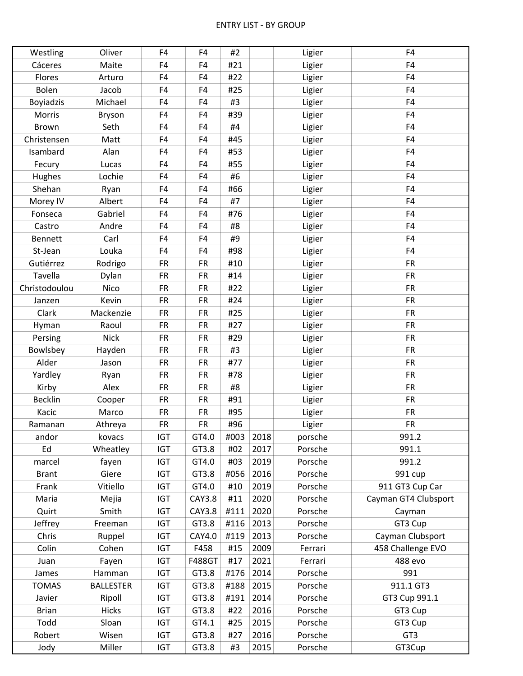| Westling         | Oliver           | F4         | F4            | #2   |      | Ligier  | F4                   |
|------------------|------------------|------------|---------------|------|------|---------|----------------------|
| Cáceres          | Maite            | F4         | F4            | #21  |      | Ligier  | F4                   |
| Flores           | Arturo           | F4         | F4            | #22  |      | Ligier  | F4                   |
| Bolen            | Jacob            | F4         | F4            | #25  |      | Ligier  | F4                   |
| <b>Boyiadzis</b> | Michael          | F4         | F4            | #3   |      | Ligier  | F4                   |
| Morris           | Bryson           | F4         | F4            | #39  |      | Ligier  | F4                   |
| Brown            | Seth             | F4         | F4            | #4   |      | Ligier  | F4                   |
| Christensen      | Matt             | F4         | F4            | #45  |      | Ligier  | F4                   |
| Isambard         | Alan             | F4         | F4            | #53  |      | Ligier  | F4                   |
| Fecury           | Lucas            | F4         | F4            | #55  |      | Ligier  | F4                   |
| Hughes           | Lochie           | F4         | F4            | #6   |      | Ligier  | F4                   |
| Shehan           | Ryan             | F4         | F4            | #66  |      | Ligier  | F4                   |
| Morey IV         | Albert           | F4         | F4            | #7   |      | Ligier  | F4                   |
| Fonseca          | Gabriel          | F4         | F4            | #76  |      | Ligier  | F4                   |
| Castro           | Andre            | F4         | F4            | #8   |      | Ligier  | F4                   |
| Bennett          | Carl             | F4         | F4            | #9   |      | Ligier  | F4                   |
| St-Jean          | Louka            | F4         | F4            | #98  |      | Ligier  | F4                   |
| Gutiérrez        | Rodrigo          | <b>FR</b>  | <b>FR</b>     | #10  |      | Ligier  | <b>FR</b>            |
| Tavella          | Dylan            | <b>FR</b>  | <b>FR</b>     | #14  |      | Ligier  | <b>FR</b>            |
| Christodoulou    | Nico             | <b>FR</b>  | <b>FR</b>     | #22  |      | Ligier  | <b>FR</b>            |
| Janzen           | Kevin            | <b>FR</b>  | <b>FR</b>     | #24  |      | Ligier  | <b>FR</b>            |
| Clark            | Mackenzie        | <b>FR</b>  | <b>FR</b>     | #25  |      | Ligier  | <b>FR</b>            |
| Hyman            | Raoul            | <b>FR</b>  | <b>FR</b>     | #27  |      | Ligier  | <b>FR</b>            |
| Persing          | <b>Nick</b>      | <b>FR</b>  | <b>FR</b>     | #29  |      | Ligier  | <b>FR</b>            |
| Bowlsbey         | Hayden           | <b>FR</b>  | <b>FR</b>     | #3   |      | Ligier  | <b>FR</b>            |
| Alder            | Jason            | <b>FR</b>  | <b>FR</b>     | #77  |      | Ligier  | <b>FR</b>            |
| Yardley          | Ryan             | <b>FR</b>  | <b>FR</b>     | #78  |      | Ligier  | <b>FR</b>            |
| Kirby            | Alex             | <b>FR</b>  | <b>FR</b>     | #8   |      | Ligier  | <b>FR</b>            |
| <b>Becklin</b>   | Cooper           | <b>FR</b>  | <b>FR</b>     | #91  |      | Ligier  | <b>FR</b>            |
| Kacic            | Marco            | <b>FR</b>  | <b>FR</b>     | #95  |      | Ligier  | <b>FR</b>            |
| Ramanan          | Athreya          | <b>FR</b>  | <b>FR</b>     | #96  |      | Ligier  | <b>FR</b>            |
| andor            | kovacs           | IGT        | GT4.0         | #003 | 2018 | porsche | 991.2                |
| Ed               | Wheatley         | <b>IGT</b> | GT3.8         | #02  | 2017 | Porsche | 991.1                |
| marcel           | fayen            | IGT        | GT4.0         | #03  | 2019 | Porsche | 991.2                |
| <b>Brant</b>     | Giere            | IGT        | GT3.8         | #056 | 2016 | Porsche | 991 cup              |
| Frank            | Vitiello         | IGT        | GT4.0         | #10  | 2019 | Porsche | 911 GT3 Cup Car      |
| Maria            |                  | IGT        | <b>CAY3.8</b> |      | 2020 | Porsche | Cayman GT4 Clubsport |
|                  | Mejia            |            |               | #11  |      |         |                      |
| Quirt            | Smith            | <b>IGT</b> | <b>CAY3.8</b> | #111 | 2020 | Porsche | Cayman               |
| Jeffrey          | Freeman          | IGT        | GT3.8         | #116 | 2013 | Porsche | GT3 Cup              |
| Chris            | Ruppel           | <b>IGT</b> | CAY4.0        | #119 | 2013 | Porsche | Cayman Clubsport     |
| Colin            | Cohen            | IGT        | F458          | #15  | 2009 | Ferrari | 458 Challenge EVO    |
| Juan             | Fayen            | IGT        | <b>F488GT</b> | #17  | 2021 | Ferrari | 488 evo              |
| James            | Hamman           | <b>IGT</b> | GT3.8         | #176 | 2014 | Porsche | 991                  |
| <b>TOMAS</b>     | <b>BALLESTER</b> | IGT        | GT3.8         | #188 | 2015 | Porsche | 911.1 GT3            |
| Javier           | Ripoll           | <b>IGT</b> | GT3.8         | #191 | 2014 | Porsche | GT3 Cup 991.1        |
| <b>Brian</b>     | <b>Hicks</b>     | IGT        | GT3.8         | #22  | 2016 | Porsche | GT3 Cup              |
| Todd             | Sloan            | IGT        | GT4.1         | #25  | 2015 | Porsche | GT3 Cup              |
| Robert           | Wisen            | IGT        | GT3.8         | #27  | 2016 | Porsche | GT3                  |
| Jody             | Miller           | IGT        | GT3.8         | #3   | 2015 | Porsche | GT3Cup               |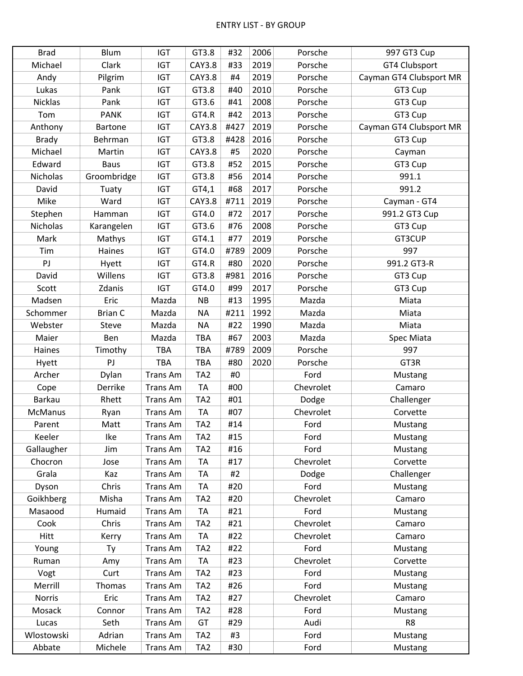| <b>Brad</b>    | <b>Blum</b>    | <b>IGT</b>      | GT3.8           | #32  | 2006 | Porsche   | 997 GT3 Cup             |
|----------------|----------------|-----------------|-----------------|------|------|-----------|-------------------------|
| Michael        | Clark          | <b>IGT</b>      | <b>CAY3.8</b>   | #33  | 2019 | Porsche   | GT4 Clubsport           |
| Andy           | Pilgrim        | IGT             | <b>CAY3.8</b>   | #4   | 2019 | Porsche   | Cayman GT4 Clubsport MR |
| Lukas          | Pank           | <b>IGT</b>      | GT3.8           | #40  | 2010 | Porsche   | GT3 Cup                 |
| <b>Nicklas</b> | Pank           | <b>IGT</b>      | GT3.6           | #41  | 2008 | Porsche   | GT3 Cup                 |
| Tom            | <b>PANK</b>    | <b>IGT</b>      | GT4.R           | #42  | 2013 | Porsche   | GT3 Cup                 |
| Anthony        | <b>Bartone</b> | <b>IGT</b>      | <b>CAY3.8</b>   | #427 | 2019 | Porsche   | Cayman GT4 Clubsport MR |
| <b>Brady</b>   | Behrman        | <b>IGT</b>      | GT3.8           | #428 | 2016 | Porsche   | GT3 Cup                 |
| Michael        | Martin         | <b>IGT</b>      | <b>CAY3.8</b>   | #5   | 2020 | Porsche   | Cayman                  |
| Edward         | <b>Baus</b>    | IGT             | GT3.8           | #52  | 2015 | Porsche   | GT3 Cup                 |
| Nicholas       | Groombridge    | <b>IGT</b>      | GT3.8           | #56  | 2014 | Porsche   | 991.1                   |
| David          | Tuaty          | <b>IGT</b>      | GT4,1           | #68  | 2017 | Porsche   | 991.2                   |
| Mike           | Ward           | <b>IGT</b>      | <b>CAY3.8</b>   | #711 | 2019 | Porsche   | Cayman - GT4            |
| Stephen        | Hamman         | <b>IGT</b>      | GT4.0           | #72  | 2017 | Porsche   | 991.2 GT3 Cup           |
| Nicholas       | Karangelen     | <b>IGT</b>      | GT3.6           | #76  | 2008 | Porsche   | GT3 Cup                 |
| Mark           | Mathys         | <b>IGT</b>      | GT4.1           | #77  | 2019 | Porsche   | GT3CUP                  |
| Tim            | Haines         | <b>IGT</b>      | GT4.0           | #789 | 2009 | Porsche   | 997                     |
| PJ             | Hyett          | <b>IGT</b>      | GT4.R           | #80  | 2020 | Porsche   | 991.2 GT3-R             |
| David          | Willens        | <b>IGT</b>      | GT3.8           | #981 | 2016 | Porsche   | GT3 Cup                 |
| Scott          | Zdanis         | <b>IGT</b>      | GT4.0           | #99  | 2017 | Porsche   | GT3 Cup                 |
| Madsen         | Eric           | Mazda           | <b>NB</b>       | #13  | 1995 | Mazda     | Miata                   |
| Schommer       | <b>Brian C</b> | Mazda           | <b>NA</b>       | #211 | 1992 | Mazda     | Miata                   |
| Webster        | Steve          | Mazda           | <b>NA</b>       | #22  | 1990 | Mazda     | Miata                   |
| Maier          | Ben            | Mazda           | TBA             | #67  | 2003 | Mazda     | Spec Miata              |
| Haines         | Timothy        | TBA             | TBA             | #789 | 2009 | Porsche   | 997                     |
| Hyett          | PJ             | TBA             | TBA             | #80  | 2020 | Porsche   | GT3R                    |
| Archer         | Dylan          | <b>Trans Am</b> | TA <sub>2</sub> | #0   |      | Ford      | Mustang                 |
| Cope           | Derrike        | <b>Trans Am</b> | <b>TA</b>       | #00  |      | Chevrolet | Camaro                  |
| <b>Barkau</b>  | Rhett          | <b>Trans Am</b> | TA <sub>2</sub> | #01  |      | Dodge     | Challenger              |
| <b>McManus</b> | Ryan           | Trans Am        | <b>TA</b>       | #07  |      | Chevrolet | Corvette                |
| Parent         | Matt           | <b>Trans Am</b> | TA <sub>2</sub> | #14  |      | Ford      | Mustang                 |
| Keeler         | Ike            | <b>Trans Am</b> | TA <sub>2</sub> | #15  |      | Ford      | Mustang                 |
| Gallaugher     | Jim            | Trans Am        | TA <sub>2</sub> | #16  |      | Ford      | Mustang                 |
| Chocron        | Jose           | Trans Am        | <b>TA</b>       | #17  |      | Chevrolet | Corvette                |
| Grala          | Kaz            | Trans Am        | <b>TA</b>       | #2   |      | Dodge     | Challenger              |
| Dyson          | Chris          | <b>Trans Am</b> | <b>TA</b>       | #20  |      | Ford      | Mustang                 |
| Goikhberg      | Misha          | Trans Am        | TA <sub>2</sub> | #20  |      | Chevrolet | Camaro                  |
| Masaood        | Humaid         | Trans Am        | <b>TA</b>       | #21  |      | Ford      | Mustang                 |
| Cook           | Chris          | <b>Trans Am</b> | TA <sub>2</sub> | #21  |      | Chevrolet | Camaro                  |
| Hitt           | Kerry          | Trans Am        | <b>TA</b>       | #22  |      | Chevrolet | Camaro                  |
| Young          | Ty             | Trans Am        | TA <sub>2</sub> | #22  |      | Ford      | Mustang                 |
| Ruman          | Amy            | Trans Am        | <b>TA</b>       | #23  |      | Chevrolet | Corvette                |
| Vogt           | Curt           | Trans Am        | TA <sub>2</sub> | #23  |      | Ford      | Mustang                 |
| Merrill        | Thomas         | Trans Am        | TA <sub>2</sub> | #26  |      | Ford      | Mustang                 |
| <b>Norris</b>  | Eric           | Trans Am        | TA <sub>2</sub> | #27  |      | Chevrolet | Camaro                  |
| Mosack         | Connor         | Trans Am        | TA <sub>2</sub> | #28  |      | Ford      | Mustang                 |
| Lucas          | Seth           | Trans Am        | GT              | #29  |      | Audi      | R <sub>8</sub>          |
| Wlostowski     | Adrian         | Trans Am        | TA <sub>2</sub> | #3   |      | Ford      | Mustang                 |
| Abbate         | Michele        | Trans Am        | TA <sub>2</sub> | #30  |      | Ford      | <b>Mustang</b>          |
|                |                |                 |                 |      |      |           |                         |